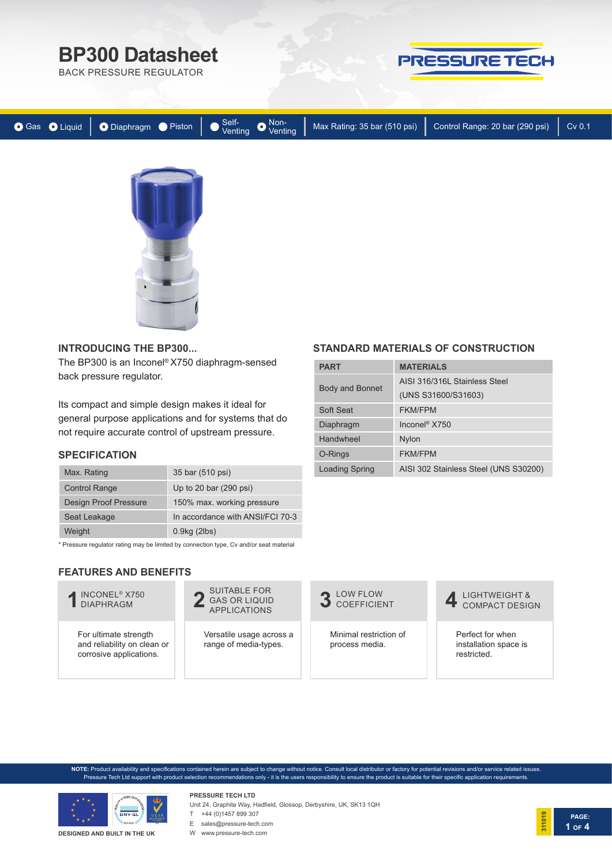# **BP300 Datasheet**

BACK PRESSURE REGULATOR

# PRESSURE TECH





### **INTRODUCING THE BP300...**

The BP300 is an Inconel® X750 diaphragm-sensed back pressure regulator.

Its compact and simple design makes it ideal for general purpose applications and for systems that do not require accurate control of upstream pressure.

## **SPECIFICATION**

| Max. Rating                  | 35 bar (510 psi)                 |
|------------------------------|----------------------------------|
| <b>Control Range</b>         | Up to 20 bar (290 psi)           |
| <b>Design Proof Pressure</b> | 150% max. working pressure       |
| Seat Leakage                 | In accordance with ANSI/FCI 70-3 |
| Weight                       | $0.9$ kg $(2$ lbs $)$            |

\* Pressure regulator rating may be limited by connection type, Cv and/or seat material

# **FEATURES AND BENEFITS**

INCONEL® X750 **1** DIAPHRAGM

For ultimate strength and reliability on clean or corrosive applications.

SUITABLE FOR **2** GAS OR LIQUID

Versatile usage across a range of media-types.

LOW FLOW<br>COEFFICIENT

Minimal restriction of process media.

**4** LIGHTWEIGHT & **COMPACT DESIGN** 

Perfect for when installation space is restricted.

**NOTE:** Product availability and specifications contained herein are subject to change without notice. Consult local distributor or factory for potential revisions and/or service related issues. Pressure Tech Ltd support with product selection recommendations only - it is the users responsibility to ensure the product is suitable for their specific application requirements.



#### **DESIGNED AND BUILT IN THE UK**

### **PRESSURE TECH LTD** Unit 24, Graphite Way, Hadfield, Glossop, Derbyshire, UK, SK13 1QH

- 
- T +44 (0)1457 899 307
- E sales@pressure-tech.com W www.pressure-tech.com
	-



# **STANDARD MATERIALS OF CONSTRUCTION**

| <b>PART</b>            | <b>MATERIALS</b>                      |  |  |
|------------------------|---------------------------------------|--|--|
| <b>Body and Bonnet</b> | AISI 316/316L Stainless Steel         |  |  |
|                        | (UNS S31600/S31603)                   |  |  |
| Soft Seat              | <b>FKM/FPM</b>                        |  |  |
| Diaphragm              | Inconel <sup>®</sup> X750             |  |  |
| Handwheel              | <b>Nylon</b>                          |  |  |
| O-Rings                | <b>FKM/FPM</b>                        |  |  |
| <b>Loading Spring</b>  | AISI 302 Stainless Steel (UNS S30200) |  |  |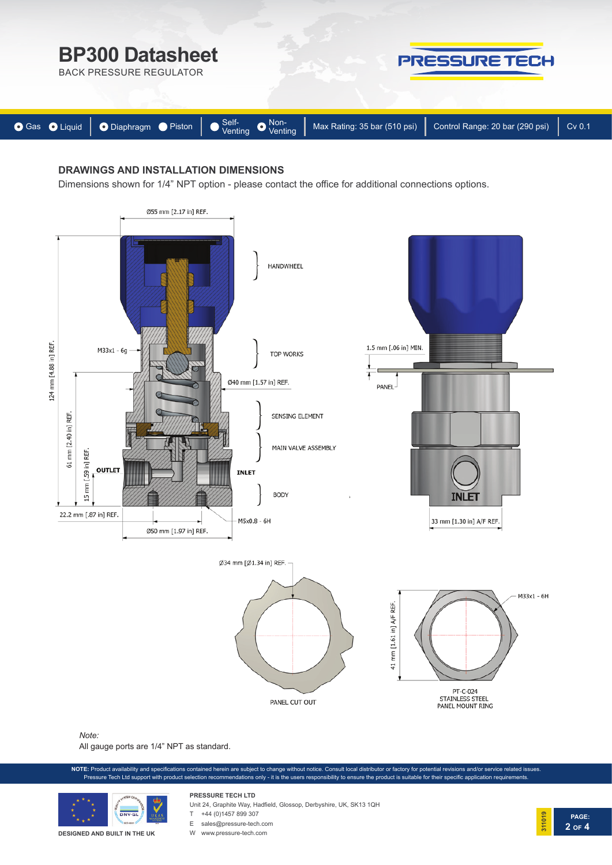

## **DRAWINGS AND INSTALLATION DIMENSIONS**

Dimensions shown for 1/4" NPT option - please contact the office for additional connections options.



### *Note:*

All gauge ports are 1/4" NPT as standard.

**NOTE:** Product availability and specifications contained herein are subject to change without notice. Consult local distributor or factory for potential revisions and/or service related issues. Pressure Tech Ltd support with product selection recommendations only - it is the users responsibility to ensure the product is suitable for their specific application requirements.

**PAGE:**

**2 OF 4**

**311019**



**DESIGNED AND BUILT IN THE UK**

Unit 24, Graphite Way, Hadfield, Glossop, Derbyshire, UK, SK13 1QH

- **PRESSURE TECH LTD** T +44 (0)1457 899 307
- E sales@pressure-tech.com
- W www.pressure-tech.com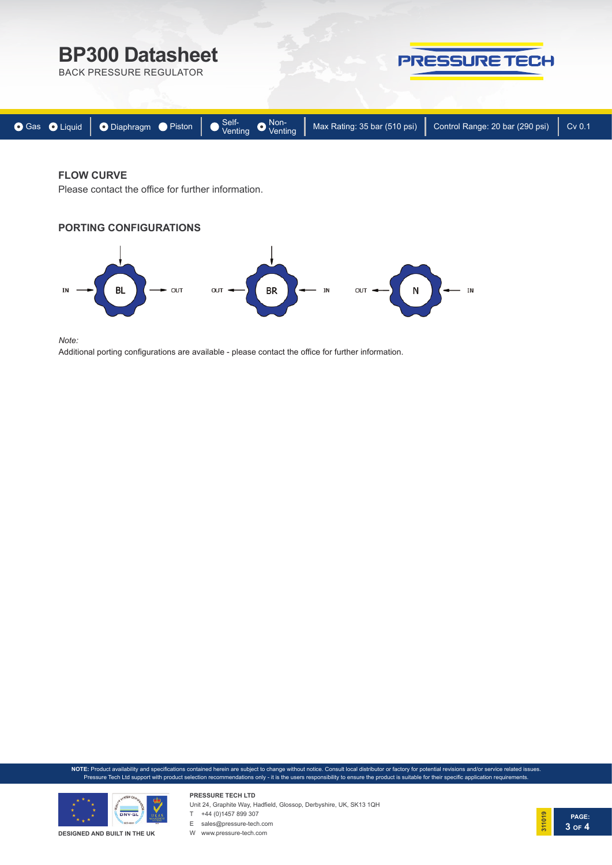

# **FLOW CURVE**

Please contact the office for further information.





*Note:* 

Additional porting configurations are available - please contact the office for further information.

**NOTE:** Product availability and specifications contained herein are subject to change without notice. Consult local distributor or factory for potential revisions and/or service related issues. Pressure Tech Ltd support with product selection recommendations only - it is the users responsibility to ensure the product is suitable for their specific application requirements.



**PRESSURE TECH LTD** Unit 24, Graphite Way, Hadfield, Glossop, Derbyshire, UK, SK13 1QH

T +44 (0)1457 899 307 E sales@pressure-tech.com

W www.pressure-tech.com